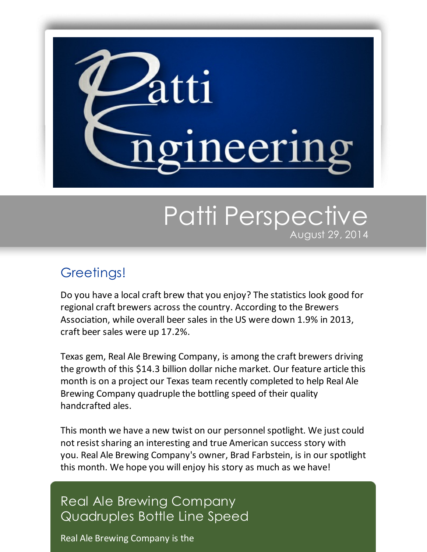

# Patti Perspective August 29, 2014

## Greetings!

Do you have a local craft brew that you enjoy? The statistics look good for regional craft brewers across the country. According to the Brewers Association, while overall beer sales in the US were down 1.9% in 2013, craft beer sales were up 17.2%.

Texas gem, Real Ale Brewing Company, is among the craft brewers driving the growth of this \$14.3 billion dollar niche market. Our feature article this month is on a project our Texas team recently completed to help Real Ale Brewing Company quadruple the bottling speed of their quality handcrafted ales.

This month we have a new twist on our personnel spotlight. We just could not resist sharing an interesting and true American success story with you. Real Ale Brewing Company's owner, Brad Farbstein, is in our spotlight this month. We hope you will enjoy his story as much as we have!

# Real Ale Brewing Company Quadruples Bottle Line Speed

Real Ale Brewing Company is the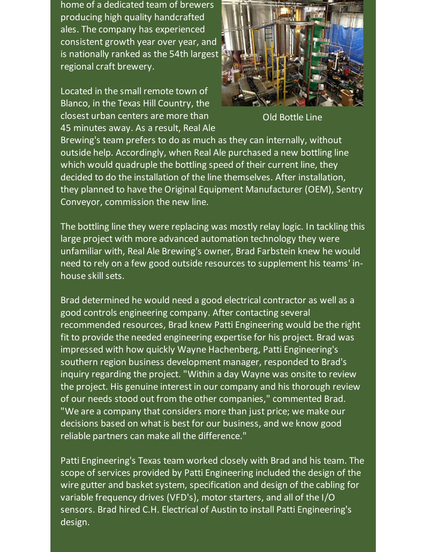home of a dedicated team of brewers producing high quality handcrafted ales. The company has experienced consistent growth year over year, and is nationally ranked as the 54th largest regional craft brewery.

Located in the small remote town of Blanco, in the Texas Hill Country, the closest urban centers are more than 45 minutes away. As a result, Real Ale



Old Bottle Line

Brewing's team prefers to do as much as they can internally, without outside help. Accordingly, when Real Ale purchased a new bottling line which would quadruple the bottling speed of their current line, they decided to do the installation of the line themselves. After installation, they planned to have the Original Equipment Manufacturer (OEM), Sentry Conveyor, commission the new line.

The bottling line they were replacing was mostly relay logic. In tackling this large project with more advanced automation technology they were unfamiliar with, Real Ale Brewing's owner, Brad Farbstein knew he would need to rely on a few good outside resources to supplement his teams' inhouse skill sets.

Brad determined he would need a good electrical contractor as well as a good controls engineering company. After contacting several recommended resources, Brad knew Patti Engineering would be the right fit to provide the needed engineering expertise for his project. Brad was impressed with how quickly Wayne Hachenberg, Patti Engineering's southern region business development manager, responded to Brad's inquiry regarding the project. "Within a day Wayne was onsite to review the project. His genuine interest in our company and his thorough review of our needs stood out from the other companies," commented Brad. "We are a company that considers more than just price; we make our decisions based on what is best for our business, and we know good reliable partners can make all the difference."

Patti Engineering's Texas team worked closely with Brad and his team. The scope of services provided by Patti Engineering included the design of the wire gutter and basket system, specification and design of the cabling for variable frequency drives (VFD's), motor starters, and all of the I/O sensors. Brad hired C.H. Electrical of Austin to install Patti Engineering's design.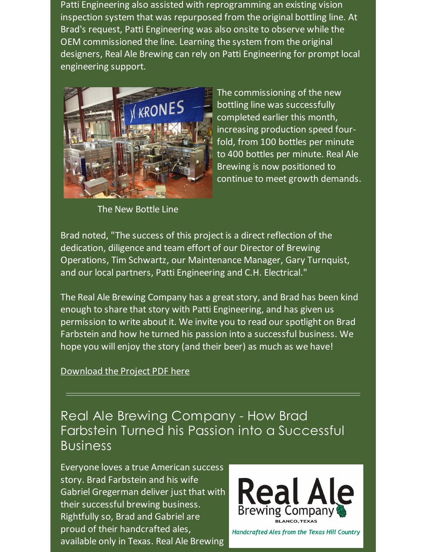Patti Engineering also assisted with reprogramming an existing vision inspection system that was repurposed from the original bottling line. At Brad's request, Patti Engineering was also onsite to observe while the OEM commissioned the line. Learning the system from the original designers, Real Ale Brewing can rely on Patti Engineering for prompt local engineering support.



The commissioning of the new bottling line was successfully completed earlier this month, increasing production speed fourfold, from 100 bottles per minute to 400 bottles per minute. Real Ale Brewing is now positioned to continue to meet growth demands.

The New Bottle Line

Brad noted, "The success of this project is a direct reflection of the dedication, diligence and team effort of our Director of Brewing Operations, Tim Schwartz, our Maintenance Manager, Gary Turnquist, and our local partners, Patti Engineering and C.H. Electrical."

The Real Ale Brewing Company has a great story, and Brad has been kind enough to share that story with Patti Engineering, and has given us permission to write about it. We invite you to read our spotlight on Brad Farbstein and how he turned his passion into a successful business. We hope you will enjoy the story (and their beer) as much as we have!

#### [Download](https://origin.library.constantcontact.com/doc205/1101449641109/doc/qMaU6Me7dkuIw5u3.pdf) the Project PDF here

### Real Ale Brewing Company - How Brad Farbstein Turned his Passion into a Successful Business

Everyone loves a true American success story. Brad Farbstein and his wife Gabriel Gregerman deliver just that with their successful brewing business. Rightfully so, Brad and Gabriel are proud of their handcrafted ales, available only in Texas. Real Ale Brewing



**Handcrafted Ales from the Texas Hill Country**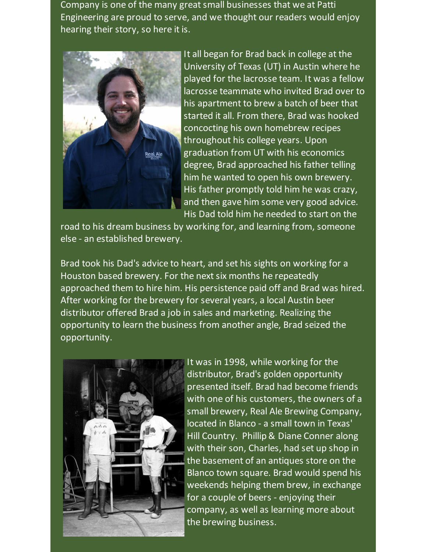Company is one of the many great small businesses that we at Patti Engineering are proud to serve, and we thought our readers would enjoy hearing their story, so here it is.



It all began for Brad back in college at the University of Texas (UT) in Austin where he played for the lacrosse team. It was a fellow lacrosse teammate who invited Brad over to his apartment to brew a batch of beer that started it all. From there, Brad was hooked concocting his own homebrew recipes throughout his college years. Upon graduation from UT with his economics degree, Brad approached his father telling him he wanted to open his own brewery. His father promptly told him he was crazy, and then gave him some very good advice. His Dad told him he needed to start on the

road to his dream business by working for, and learning from, someone else - an established brewery.

Brad took his Dad's advice to heart, and set his sights on working for a Houston based brewery. For the next six months he repeatedly approached them to hire him. His persistence paid off and Brad was hired. After working for the brewery for several years, a local Austin beer distributor offered Brad a job in sales and marketing. Realizing the opportunity to learn the business from another angle, Brad seized the opportunity.



It was in 1998, while working for the distributor, Brad's golden opportunity presented itself. Brad had become friends with one of his customers, the owners of a small brewery, Real Ale Brewing Company, located in Blanco - a small town in Texas' Hill Country. Phillip & Diane Conner along with their son, Charles, had set up shop in the basement of an antiques store on the Blanco town square. Brad would spend his weekends helping them brew, in exchange for a couple of beers - enjoying their company, as well as learning more about the brewing business.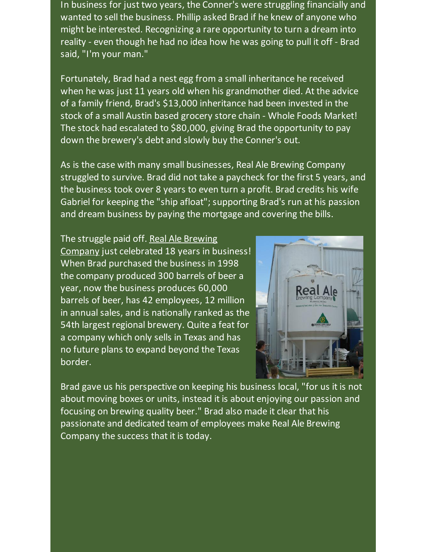In business for just two years, the Conner's were struggling financially and wanted to sell the business. Phillip asked Brad if he knew of anyone who might be interested. Recognizing a rare opportunity to turn a dream into reality - even though he had no idea how he was going to pull it off - Brad said, "I'm your man."

Fortunately, Brad had a nest egg from a small inheritance he received when he was just 11 years old when his grandmother died. At the advice of a family friend, Brad's \$13,000 inheritance had been invested in the stock of a small Austin based grocery store chain - Whole Foods Market! The stock had escalated to \$80,000, giving Brad the opportunity to pay down the brewery's debt and slowly buy the Conner's out.

As is the case with many small businesses, Real Ale Brewing Company struggled to survive. Brad did not take a paycheck for the first 5 years, and the business took over 8 years to even turn a profit. Brad credits his wife Gabriel for keeping the "ship afloat"; supporting Brad's run at his passion and dream business by paying the mortgage and covering the bills.

The struggle paid off. Real Ale Brewing Company just [celebrated](https://realalebrewing.com/home?utm_source=Patti+Perspective_August_2014&utm_campaign=Newsletter+August+2014&utm_medium=email) 18 years in business! When Brad purchased the business in 1998 the company produced 300 barrels of beer a year, now the business produces 60,000 barrels of beer, has 42 employees, 12 million in annual sales, and is nationally ranked as the 54th largest regional brewery. Quite a feat for a company which only sells in Texas and has no future plans to expand beyond the Texas border.



Brad gave us his perspective on keeping his business local, "for us it is not about moving boxes or units, instead it is about enjoying our passion and focusing on brewing quality beer." Brad also made it clear that his passionate and dedicated team of employees make Real Ale Brewing Company the success that it is today.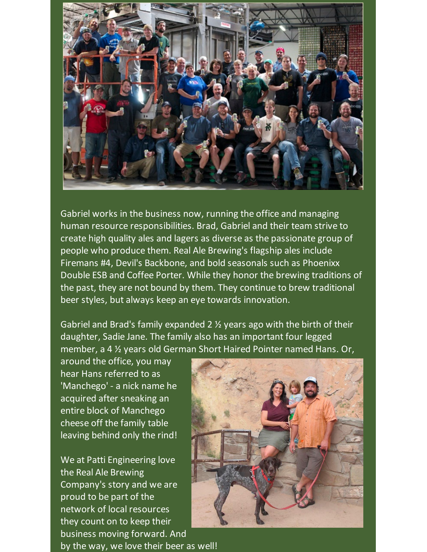

Gabriel works in the business now, running the office and managing human resource responsibilities. Brad, Gabriel and their team strive to create high quality ales and lagers as diverse as the passionate group of people who produce them. Real Ale Brewing's flagship ales include Firemans #4, Devil's Backbone, and bold seasonals such as Phoenixx Double ESB and Coffee Porter. While they honor the brewing traditions of the past, they are not bound by them. They continue to brew traditional beer styles, but always keep an eye towards innovation.

Gabriel and Brad's family expanded 2 ½ years ago with the birth of their daughter, Sadie Jane. The family also has an important four legged member, a 4 ½ years old German Short Haired Pointer named Hans. Or,

around the office, you may hear Hans referred to as 'Manchego' - a nick name he acquired after sneaking an entire block of Manchego cheese off the family table leaving behind only the rind!

We at Patti Engineering love the Real Ale Brewing Company's story and we are proud to be part of the network of local resources they count on to keep their business moving forward. And by the way, we love their beer as well!